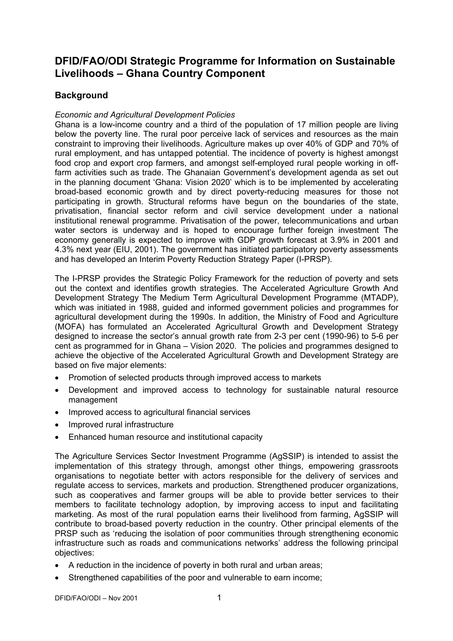# **DFID/FAO/ODI Strategic Programme for Information on Sustainable Livelihoods – Ghana Country Component**

# **Background**

#### *Economic and Agricultural Development Policies*

Ghana is a low-income country and a third of the population of 17 million people are living below the poverty line. The rural poor perceive lack of services and resources as the main constraint to improving their livelihoods. Agriculture makes up over 40% of GDP and 70% of rural employment, and has untapped potential. The incidence of poverty is highest amongst food crop and export crop farmers, and amongst self-employed rural people working in offfarm activities such as trade. The Ghanaian Government's development agenda as set out in the planning document 'Ghana: Vision 2020' which is to be implemented by accelerating broad-based economic growth and by direct poverty-reducing measures for those not participating in growth. Structural reforms have begun on the boundaries of the state, privatisation, financial sector reform and civil service development under a national institutional renewal programme. Privatisation of the power, telecommunications and urban water sectors is underway and is hoped to encourage further foreign investment The economy generally is expected to improve with GDP growth forecast at 3.9% in 2001 and 4.3% next year (EIU, 2001). The government has initiated participatory poverty assessments and has developed an Interim Poverty Reduction Strategy Paper (I-PRSP).

The I-PRSP provides the Strategic Policy Framework for the reduction of poverty and sets out the context and identifies growth strategies. The Accelerated Agriculture Growth And Development Strategy The Medium Term Agricultural Development Programme (MTADP), which was initiated in 1988, guided and informed government policies and programmes for agricultural development during the 1990s. In addition, the Ministry of Food and Agriculture (MOFA) has formulated an Accelerated Agricultural Growth and Development Strategy designed to increase the sector's annual growth rate from 2-3 per cent (1990-96) to 5-6 per cent as programmed for in Ghana – Vision 2020. The policies and programmes designed to achieve the objective of the Accelerated Agricultural Growth and Development Strategy are based on five major elements:

- Promotion of selected products through improved access to markets
- Development and improved access to technology for sustainable natural resource management
- Improved access to agricultural financial services
- Improved rural infrastructure
- Enhanced human resource and institutional capacity

The Agriculture Services Sector Investment Programme (AgSSIP) is intended to assist the implementation of this strategy through, amongst other things, empowering grassroots organisations to negotiate better with actors responsible for the delivery of services and regulate access to services, markets and production. Strengthened producer organizations, such as cooperatives and farmer groups will be able to provide better services to their members to facilitate technology adoption, by improving access to input and facilitating marketing. As most of the rural population earns their livelihood from farming, AgSSIP will contribute to broad-based poverty reduction in the country. Other principal elements of the PRSP such as 'reducing the isolation of poor communities through strengthening economic infrastructure such as roads and communications networks' address the following principal objectives:

- A reduction in the incidence of poverty in both rural and urban areas;
- Strengthened capabilities of the poor and vulnerable to earn income;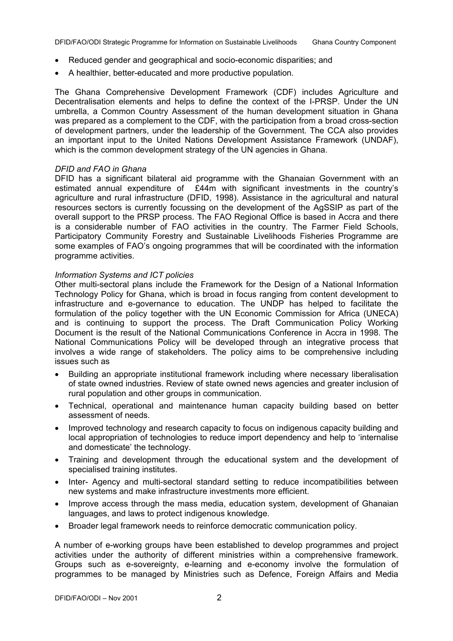- Reduced gender and geographical and socio-economic disparities; and
- A healthier, better-educated and more productive population.

The Ghana Comprehensive Development Framework (CDF) includes Agriculture and Decentralisation elements and helps to define the context of the I-PRSP. Under the UN umbrella, a Common Country Assessment of the human development situation in Ghana was prepared as a complement to the CDF, with the participation from a broad cross-section of development partners, under the leadership of the Government. The CCA also provides an important input to the United Nations Development Assistance Framework (UNDAF), which is the common development strategy of the UN agencies in Ghana.

#### *DFID and FAO in Ghana*

DFID has a significant bilateral aid programme with the Ghanaian Government with an estimated annual expenditure of £44m with significant investments in the country's agriculture and rural infrastructure (DFID, 1998). Assistance in the agricultural and natural resources sectors is currently focussing on the development of the AgSSIP as part of the overall support to the PRSP process. The FAO Regional Office is based in Accra and there is a considerable number of FAO activities in the country. The Farmer Field Schools, Participatory Community Forestry and Sustainable Livelihoods Fisheries Programme are some examples of FAO's ongoing programmes that will be coordinated with the information programme activities.

#### *Information Systems and ICT policies*

Other multi-sectoral plans include the Framework for the Design of a National Information Technology Policy for Ghana, which is broad in focus ranging from content development to infrastructure and e-governance to education. The UNDP has helped to facilitate the formulation of the policy together with the UN Economic Commission for Africa (UNECA) and is continuing to support the process. The Draft Communication Policy Working Document is the result of the National Communications Conference in Accra in 1998. The National Communications Policy will be developed through an integrative process that involves a wide range of stakeholders. The policy aims to be comprehensive including issues such as

- Building an appropriate institutional framework including where necessary liberalisation of state owned industries. Review of state owned news agencies and greater inclusion of rural population and other groups in communication.
- Technical, operational and maintenance human capacity building based on better assessment of needs.
- Improved technology and research capacity to focus on indigenous capacity building and local appropriation of technologies to reduce import dependency and help to 'internalise and domesticate' the technology.
- Training and development through the educational system and the development of specialised training institutes.
- Inter- Agency and multi-sectoral standard setting to reduce incompatibilities between new systems and make infrastructure investments more efficient.
- Improve access through the mass media, education system, development of Ghanaian languages, and laws to protect indigenous knowledge.
- Broader legal framework needs to reinforce democratic communication policy.

A number of e-working groups have been established to develop programmes and project activities under the authority of different ministries within a comprehensive framework. Groups such as e-sovereignty, e-learning and e-economy involve the formulation of programmes to be managed by Ministries such as Defence, Foreign Affairs and Media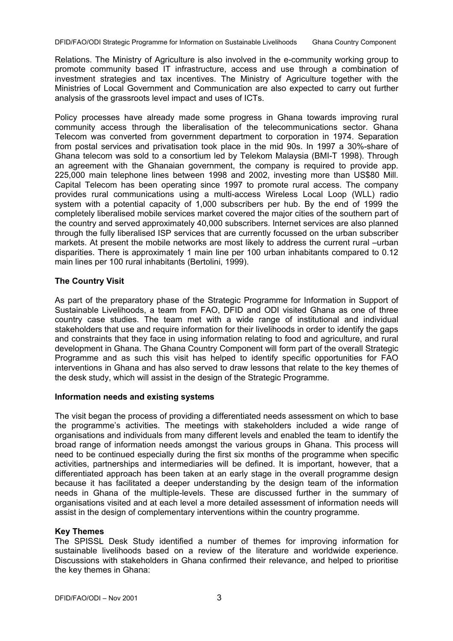Relations. The Ministry of Agriculture is also involved in the e-community working group to promote community based IT infrastructure, access and use through a combination of investment strategies and tax incentives. The Ministry of Agriculture together with the Ministries of Local Government and Communication are also expected to carry out further analysis of the grassroots level impact and uses of ICTs.

Policy processes have already made some progress in Ghana towards improving rural community access through the liberalisation of the telecommunications sector. Ghana Telecom was converted from government department to corporation in 1974. Separation from postal services and privatisation took place in the mid 90s. In 1997 a 30%-share of Ghana telecom was sold to a consortium led by Telekom Malaysia (BMI-T 1998). Through an agreement with the Ghanaian government, the company is required to provide app. 225,000 main telephone lines between 1998 and 2002, investing more than US\$80 Mill. Capital Telecom has been operating since 1997 to promote rural access. The company provides rural communications using a multi-access Wireless Local Loop (WLL) radio system with a potential capacity of 1,000 subscribers per hub. By the end of 1999 the completely liberalised mobile services market covered the major cities of the southern part of the country and served approximately 40,000 subscribers. Internet services are also planned through the fully liberalised ISP services that are currently focussed on the urban subscriber markets. At present the mobile networks are most likely to address the current rural –urban disparities. There is approximately 1 main line per 100 urban inhabitants compared to 0.12 main lines per 100 rural inhabitants (Bertolini, 1999).

# **The Country Visit**

As part of the preparatory phase of the Strategic Programme for Information in Support of Sustainable Livelihoods, a team from FAO, DFID and ODI visited Ghana as one of three country case studies. The team met with a wide range of institutional and individual stakeholders that use and require information for their livelihoods in order to identify the gaps and constraints that they face in using information relating to food and agriculture, and rural development in Ghana. The Ghana Country Component will form part of the overall Strategic Programme and as such this visit has helped to identify specific opportunities for FAO interventions in Ghana and has also served to draw lessons that relate to the key themes of the desk study, which will assist in the design of the Strategic Programme.

# **Information needs and existing systems**

The visit began the process of providing a differentiated needs assessment on which to base the programme's activities. The meetings with stakeholders included a wide range of organisations and individuals from many different levels and enabled the team to identify the broad range of information needs amongst the various groups in Ghana. This process will need to be continued especially during the first six months of the programme when specific activities, partnerships and intermediaries will be defined. It is important, however, that a differentiated approach has been taken at an early stage in the overall programme design because it has facilitated a deeper understanding by the design team of the information needs in Ghana of the multiple-levels. These are discussed further in the summary of organisations visited and at each level a more detailed assessment of information needs will assist in the design of complementary interventions within the country programme.

# **Key Themes**

The SPISSL Desk Study identified a number of themes for improving information for sustainable livelihoods based on a review of the literature and worldwide experience. Discussions with stakeholders in Ghana confirmed their relevance, and helped to prioritise the key themes in Ghana: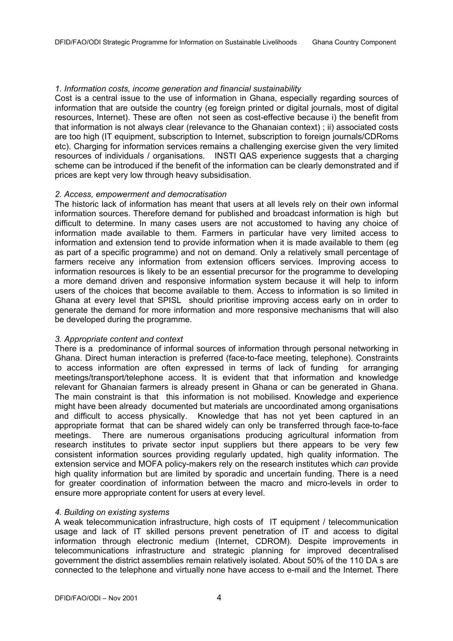#### *1. Information costs, income generation and financial sustainability*

Cost is a central issue to the use of information in Ghana, especially regarding sources of information that are outside the country (eg foreign printed or digital journals, most of digital resources, Internet). These are often not seen as cost-effective because i) the benefit from that information is not always clear (relevance to the Ghanaian context) ; ii) associated costs are too high (IT equipment, subscription to Internet, subscription to foreign journals/CDRoms etc). Charging for information services remains a challenging exercise given the very limited resources of individuals / organisations. INSTI QAS experience suggests that a charging scheme can be introduced if the benefit of the information can be clearly demonstrated and if prices are kept very low through heavy subsidisation.

#### *2. Access, empowerment and democratisation*

The historic lack of information has meant that users at all levels rely on their own informal information sources. Therefore demand for published and broadcast information is high but difficult to determine. In many cases users are not accustomed to having any choice of information made available to them. Farmers in particular have very limited access to information and extension tend to provide information when it is made available to them (eg as part of a specific programme) and not on demand. Only a relatively small percentage of farmers receive any information from extension officers services. Improving access to information resources is likely to be an essential precursor for the programme to developing a more demand driven and responsive information system because it will help to inform users of the choices that become available to them. Access to information is so limited in Ghana at every level that SPISL should prioritise improving access early on in order to generate the demand for more information and more responsive mechanisms that will also be developed during the programme.

#### *3. Appropriate content and context*

There is a predominance of informal sources of information through personal networking in Ghana. Direct human interaction is preferred (face-to-face meeting, telephone). Constraints to access information are often expressed in terms of lack of funding for arranging meetings/transport/telephone access. It is evident that that information and knowledge relevant for Ghanaian farmers is already present in Ghana or can be generated in Ghana. The main constraint is that this information is not mobilised. Knowledge and experience might have been already documented but materials are uncoordinated among organisations and difficult to access physically. Knowledge that has not yet been captured in an appropriate format that can be shared widely can only be transferred through face-to-face meetings. There are numerous organisations producing agricultural information from research institutes to private sector input suppliers but there appears to be very few consistent information sources providing regularly updated, high quality information. The extension service and MOFA policy-makers rely on the research institutes which *can* provide high quality information but are limited by sporadic and uncertain funding. There is a need for greater coordination of information between the macro and micro-levels in order to ensure more appropriate content for users at every level.

#### *4. Building on existing systems*

A weak telecommunication infrastructure, high costs of IT equipment / telecommunication usage and lack of IT skilled persons prevent penetration of IT and access to digital information through electronic medium (Internet, CDROM). Despite improvements in telecommunications infrastructure and strategic planning for improved decentralised government the district assemblies remain relatively isolated. About 50% of the 110 DA s are connected to the telephone and virtually none have access to e-mail and the Internet. There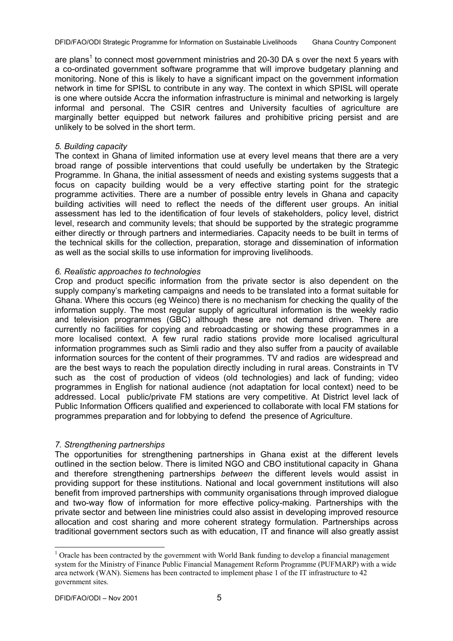are plans<sup>1</sup> to connect most government ministries and 20-30 DA s over the next 5 years with a co-ordinated government software programme that will improve budgetary planning and monitoring. None of this is likely to have a significant impact on the government information network in time for SPISL to contribute in any way. The context in which SPISL will operate is one where outside Accra the information infrastructure is minimal and networking is largely informal and personal. The CSIR centres and University faculties of agriculture are marginally better equipped but network failures and prohibitive pricing persist and are unlikely to be solved in the short term.

#### *5. Building capacity*

The context in Ghana of limited information use at every level means that there are a very broad range of possible interventions that could usefully be undertaken by the Strategic Programme. In Ghana, the initial assessment of needs and existing systems suggests that a focus on capacity building would be a very effective starting point for the strategic programme activities. There are a number of possible entry levels in Ghana and capacity building activities will need to reflect the needs of the different user groups. An initial assessment has led to the identification of four levels of stakeholders, policy level, district level, research and community levels; that should be supported by the strategic programme either directly or through partners and intermediaries. Capacity needs to be built in terms of the technical skills for the collection, preparation, storage and dissemination of information as well as the social skills to use information for improving livelihoods.

#### *6. Realistic approaches to technologies*

Crop and product specific information from the private sector is also dependent on the supply company's marketing campaigns and needs to be translated into a format suitable for Ghana. Where this occurs (eg Weinco) there is no mechanism for checking the quality of the information supply. The most regular supply of agricultural information is the weekly radio and television programmes (GBC) although these are not demand driven. There are currently no facilities for copying and rebroadcasting or showing these programmes in a more localised context. A few rural radio stations provide more localised agricultural information programmes such as Simli radio and they also suffer from a paucity of available information sources for the content of their programmes. TV and radios are widespread and are the best ways to reach the population directly including in rural areas. Constraints in TV such as the cost of production of videos (old technologies) and lack of funding; video programmes in English for national audience (not adaptation for local context) need to be addressed. Local public/private FM stations are very competitive. At District level lack of Public Information Officers qualified and experienced to collaborate with local FM stations for programmes preparation and for lobbying to defend the presence of Agriculture.

#### *7. Strengthening partnerships*

The opportunities for strengthening partnerships in Ghana exist at the different levels outlined in the section below. There is limited NGO and CBO institutional capacity in Ghana and therefore strengthening partnerships *between* the different levels would assist in providing support for these institutions. National and local government institutions will also benefit from improved partnerships with community organisations through improved dialogue and two-way flow of information for more effective policy-making. Partnerships with the private sector and between line ministries could also assist in developing improved resource allocation and cost sharing and more coherent strategy formulation. Partnerships across traditional government sectors such as with education, IT and finance will also greatly assist

l

 $1$  Oracle has been contracted by the government with World Bank funding to develop a financial management system for the Ministry of Finance Public Financial Management Reform Programme (PUFMARP) with a wide area network (WAN). Siemens has been contracted to implement phase 1 of the IT infrastructure to 42 government sites.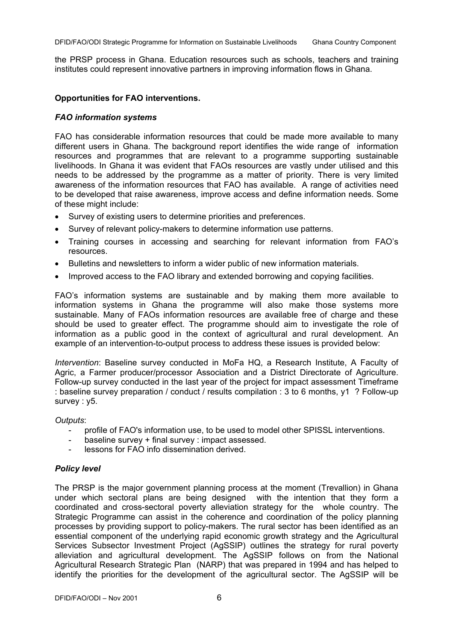the PRSP process in Ghana. Education resources such as schools, teachers and training institutes could represent innovative partners in improving information flows in Ghana.

#### **Opportunities for FAO interventions.**

#### *FAO information systems*

FAO has considerable information resources that could be made more available to many different users in Ghana. The background report identifies the wide range of information resources and programmes that are relevant to a programme supporting sustainable livelihoods. In Ghana it was evident that FAOs resources are vastly under utilised and this needs to be addressed by the programme as a matter of priority. There is very limited awareness of the information resources that FAO has available. A range of activities need to be developed that raise awareness, improve access and define information needs. Some of these might include:

- Survey of existing users to determine priorities and preferences.
- Survey of relevant policy-makers to determine information use patterns.
- Training courses in accessing and searching for relevant information from FAO's resources.
- Bulletins and newsletters to inform a wider public of new information materials.
- Improved access to the FAO library and extended borrowing and copying facilities.

FAO's information systems are sustainable and by making them more available to information systems in Ghana the programme will also make those systems more sustainable. Many of FAOs information resources are available free of charge and these should be used to greater effect. The programme should aim to investigate the role of information as a public good in the context of agricultural and rural development. An example of an intervention-to-output process to address these issues is provided below:

*Intervention*: Baseline survey conducted in MoFa HQ, a Research Institute, A Faculty of Agric, a Farmer producer/processor Association and a District Directorate of Agriculture. Follow-up survey conducted in the last year of the project for impact assessment Timeframe : baseline survey preparation / conduct / results compilation : 3 to 6 months, y1 ? Follow-up survey : y5.

#### *Outputs*:

- profile of FAO's information use, to be used to model other SPISSL interventions.
- baseline survey + final survey : impact assessed.
- lessons for FAO info dissemination derived.

#### *Policy level*

The PRSP is the major government planning process at the moment (Trevallion) in Ghana under which sectoral plans are being designed with the intention that they form a coordinated and cross-sectoral poverty alleviation strategy for the whole country. The Strategic Programme can assist in the coherence and coordination of the policy planning processes by providing support to policy-makers. The rural sector has been identified as an essential component of the underlying rapid economic growth strategy and the Agricultural Services Subsector Investment Project (AgSSIP) outlines the strategy for rural poverty alleviation and agricultural development. The AgSSIP follows on from the National Agricultural Research Strategic Plan (NARP) that was prepared in 1994 and has helped to identify the priorities for the development of the agricultural sector. The AgSSIP will be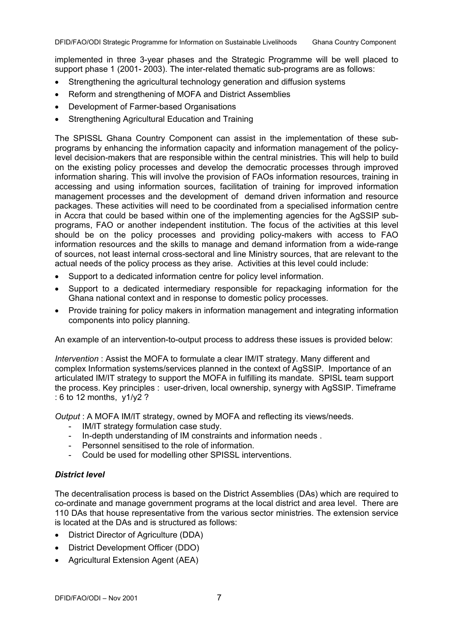implemented in three 3-year phases and the Strategic Programme will be well placed to support phase 1 (2001- 2003). The inter-related thematic sub-programs are as follows:

- Strengthening the agricultural technology generation and diffusion systems
- Reform and strengthening of MOFA and District Assemblies
- Development of Farmer-based Organisations
- Strengthening Agricultural Education and Training

The SPISSL Ghana Country Component can assist in the implementation of these subprograms by enhancing the information capacity and information management of the policylevel decision-makers that are responsible within the central ministries. This will help to build on the existing policy processes and develop the democratic processes through improved information sharing. This will involve the provision of FAOs information resources, training in accessing and using information sources, facilitation of training for improved information management processes and the development of demand driven information and resource packages. These activities will need to be coordinated from a specialised information centre in Accra that could be based within one of the implementing agencies for the AgSSIP subprograms, FAO or another independent institution. The focus of the activities at this level should be on the policy processes and providing policy-makers with access to FAO information resources and the skills to manage and demand information from a wide-range of sources, not least internal cross-sectoral and line Ministry sources, that are relevant to the actual needs of the policy process as they arise. Activities at this level could include:

- Support to a dedicated information centre for policy level information.
- Support to a dedicated intermediary responsible for repackaging information for the Ghana national context and in response to domestic policy processes.
- Provide training for policy makers in information management and integrating information components into policy planning.

An example of an intervention-to-output process to address these issues is provided below:

*Intervention* : Assist the MOFA to formulate a clear IM/IT strategy. Many different and complex Information systems/services planned in the context of AgSSIP. Importance of an articulated IM/IT strategy to support the MOFA in fulfilling its mandate. SPISL team support the process. Key principles : user-driven, local ownership, synergy with AgSSIP. Timeframe : 6 to 12 months, y1/y2 ?

*Output* : A MOFA IM/IT strategy, owned by MOFA and reflecting its views/needs.

- IM/IT strategy formulation case study.
- In-depth understanding of IM constraints and information needs .
- Personnel sensitised to the role of information.
- Could be used for modelling other SPISSL interventions.

#### *District level*

The decentralisation process is based on the District Assemblies (DAs) which are required to co-ordinate and manage government programs at the local district and area level. There are 110 DAs that house representative from the various sector ministries. The extension service is located at the DAs and is structured as follows:

- District Director of Agriculture (DDA)
- District Development Officer (DDO)
- Agricultural Extension Agent (AEA)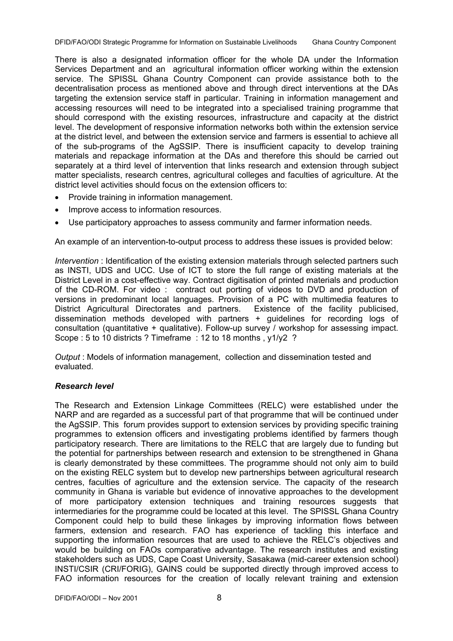There is also a designated information officer for the whole DA under the Information Services Department and an agricultural information officer working within the extension service. The SPISSL Ghana Country Component can provide assistance both to the decentralisation process as mentioned above and through direct interventions at the DAs targeting the extension service staff in particular. Training in information management and accessing resources will need to be integrated into a specialised training programme that should correspond with the existing resources, infrastructure and capacity at the district level. The development of responsive information networks both within the extension service at the district level, and between the extension service and farmers is essential to achieve all of the sub-programs of the AgSSIP. There is insufficient capacity to develop training materials and repackage information at the DAs and therefore this should be carried out separately at a third level of intervention that links research and extension through subject matter specialists, research centres, agricultural colleges and faculties of agriculture. At the district level activities should focus on the extension officers to:

- Provide training in information management.
- Improve access to information resources.
- Use participatory approaches to assess community and farmer information needs.

An example of an intervention-to-output process to address these issues is provided below:

*Intervention* : Identification of the existing extension materials through selected partners such as INSTI, UDS and UCC. Use of ICT to store the full range of existing materials at the District Level in a cost-effective way. Contract digitisation of printed materials and production of the CD-ROM. For video : contract out porting of videos to DVD and production of versions in predominant local languages. Provision of a PC with multimedia features to District Agricultural Directorates and partners. Existence of the facility publicised, dissemination methods developed with partners + guidelines for recording logs of consultation (quantitative + qualitative). Follow-up survey / workshop for assessing impact. Scope : 5 to 10 districts ? Timeframe : 12 to 18 months , y1/y2 ?

*Output* : Models of information management, collection and dissemination tested and evaluated.

# *Research level*

The Research and Extension Linkage Committees (RELC) were established under the NARP and are regarded as a successful part of that programme that will be continued under the AgSSIP. This forum provides support to extension services by providing specific training programmes to extension officers and investigating problems identified by farmers though participatory research. There are limitations to the RELC that are largely due to funding but the potential for partnerships between research and extension to be strengthened in Ghana is clearly demonstrated by these committees. The programme should not only aim to build on the existing RELC system but to develop new partnerships between agricultural research centres, faculties of agriculture and the extension service. The capacity of the research community in Ghana is variable but evidence of innovative approaches to the development of more participatory extension techniques and training resources suggests that intermediaries for the programme could be located at this level. The SPISSL Ghana Country Component could help to build these linkages by improving information flows between farmers, extension and research. FAO has experience of tackling this interface and supporting the information resources that are used to achieve the RELC's objectives and would be building on FAOs comparative advantage. The research institutes and existing stakeholders such as UDS, Cape Coast University, Sasakawa (mid-career extension school) INSTI/CSIR (CRI/FORIG), GAINS could be supported directly through improved access to FAO information resources for the creation of locally relevant training and extension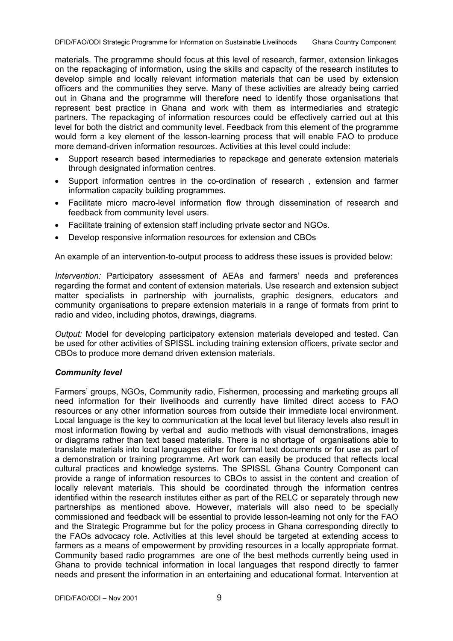materials. The programme should focus at this level of research, farmer, extension linkages on the repackaging of information, using the skills and capacity of the research institutes to develop simple and locally relevant information materials that can be used by extension officers and the communities they serve. Many of these activities are already being carried out in Ghana and the programme will therefore need to identify those organisations that represent best practice in Ghana and work with them as intermediaries and strategic partners. The repackaging of information resources could be effectively carried out at this level for both the district and community level. Feedback from this element of the programme would form a key element of the lesson-learning process that will enable FAO to produce more demand-driven information resources. Activities at this level could include:

- Support research based intermediaries to repackage and generate extension materials through designated information centres.
- Support information centres in the co-ordination of research , extension and farmer information capacity building programmes.
- Facilitate micro macro-level information flow through dissemination of research and feedback from community level users.
- Facilitate training of extension staff including private sector and NGOs.
- Develop responsive information resources for extension and CBOs

An example of an intervention-to-output process to address these issues is provided below:

*Intervention:* Participatory assessment of AEAs and farmers' needs and preferences regarding the format and content of extension materials. Use research and extension subject matter specialists in partnership with journalists, graphic designers, educators and community organisations to prepare extension materials in a range of formats from print to radio and video, including photos, drawings, diagrams.

*Output:* Model for developing participatory extension materials developed and tested. Can be used for other activities of SPISSL including training extension officers, private sector and CBOs to produce more demand driven extension materials.

# *Community level*

Farmers' groups, NGOs, Community radio, Fishermen, processing and marketing groups all need information for their livelihoods and currently have limited direct access to FAO resources or any other information sources from outside their immediate local environment. Local language is the key to communication at the local level but literacy levels also result in most information flowing by verbal and audio methods with visual demonstrations, images or diagrams rather than text based materials. There is no shortage of organisations able to translate materials into local languages either for formal text documents or for use as part of a demonstration or training programme. Art work can easily be produced that reflects local cultural practices and knowledge systems. The SPISSL Ghana Country Component can provide a range of information resources to CBOs to assist in the content and creation of locally relevant materials. This should be coordinated through the information centres identified within the research institutes either as part of the RELC or separately through new partnerships as mentioned above. However, materials will also need to be specially commissioned and feedback will be essential to provide lesson-learning not only for the FAO and the Strategic Programme but for the policy process in Ghana corresponding directly to the FAOs advocacy role. Activities at this level should be targeted at extending access to farmers as a means of empowerment by providing resources in a locally appropriate format. Community based radio programmes are one of the best methods currently being used in Ghana to provide technical information in local languages that respond directly to farmer needs and present the information in an entertaining and educational format. Intervention at